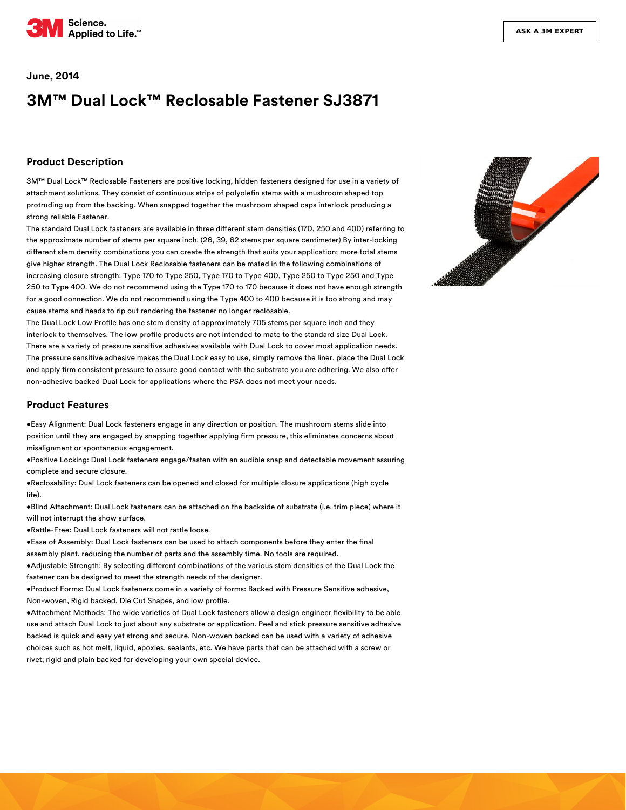

#### **June, 2014**

# **3M™ Dual Lock™ Reclosable Fastener SJ3871**

### **Product Description**

3M™ Dual Lock™ Reclosable Fasteners are positive locking, hidden fasteners designed for use in a variety of attachment solutions. They consist of continuous strips of polyolefin stems with a mushroom shaped top protruding up from the backing. When snapped together the mushroom shaped caps interlock producing a strong reliable Fastener.

The standard Dual Lock fasteners are available in three different stem densities (170, 250 and 400) referring to the approximate number of stems per square inch. (26, 39, 62 stems per square centimeter) By inter-locking different stem density combinations you can create the strength that suits your application; more total stems give higher strength. The Dual Lock Reclosable fasteners can be mated in the following combinations of increasing closure strength: Type 170 to Type 250, Type 170 to Type 400, Type 250 to Type 250 and Type 250 to Type 400. We do not recommend using the Type 170 to 170 because it does not have enough strength for a good connection. We do not recommend using the Type 400 to 400 because it is too strong and may cause stems and heads to rip out rendering the fastener no longer reclosable.

The Dual Lock Low Profile has one stem density of approximately 705 stems per square inch and they interlock to themselves. The low profile products are not intended to mate to the standard size Dual Lock. There are a variety of pressure sensitive adhesives available with Dual Lock to cover most application needs. The pressure sensitive adhesive makes the Dual Lock easy to use, simply remove the liner, place the Dual Lock and apply firm consistent pressure to assure good contact with the substrate you are adhering. We also offer non-adhesive backed Dual Lock for applications where the PSA does not meet your needs.

#### **Product Features**

•Easy Alignment: Dual Lock fasteners engage in any direction or position. The mushroom stems slide into position until they are engaged by snapping together applying firm pressure, this eliminates concerns about misalignment or spontaneous engagement.

•Positive Locking: Dual Lock fasteners engage/fasten with an audible snap and detectable movement assuring complete and secure closure.

•Reclosability: Dual Lock fasteners can be opened and closed for multiple closure applications (high cycle life).

•Blind Attachment: Dual Lock fasteners can be attached on the backside of substrate (i.e. trim piece) where it will not interrupt the show surface.

•Rattle-Free: Dual Lock fasteners will not rattle loose.

•Ease of Assembly: Dual Lock fasteners can be used to attach components before they enter the final assembly plant, reducing the number of parts and the assembly time. No tools are required.

•Adjustable Strength: By selecting different combinations of the various stem densities of the Dual Lock the fastener can be designed to meet the strength needs of the designer.

•Product Forms: Dual Lock fasteners come in a variety of forms: Backed with Pressure Sensitive adhesive, Non-woven, Rigid backed, Die Cut Shapes, and low profile.

. Attachment Methods: The wide varieties of Dual Lock fasteners allow a design engineer flexibility to be able use and attach Dual Lock to just about any substrate or application. Peel and stick pressure sensitive adhesive backed is quick and easy yet strong and secure. Non-woven backed can be used with a variety of adhesive choices such as hot melt, liquid, epoxies, sealants, etc. We have parts that can be attached with a screw or rivet; rigid and plain backed for developing your own special device.

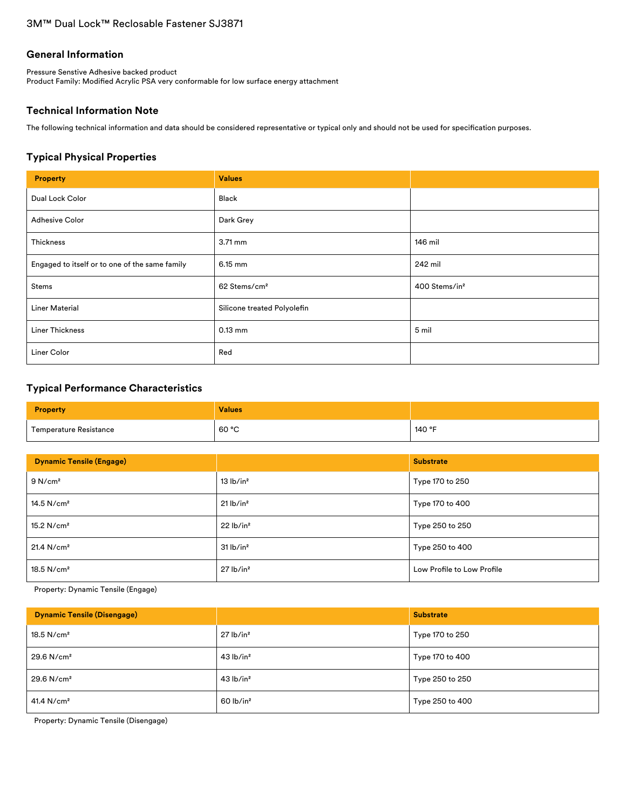# **General Information**

Pressure Senstive Adhesive backed product Product Family: Modified Acrylic PSA very conformable for low surface energy attachment

# **Technical Information Note**

The following technical information and data should be considered representative or typical only and should not be used for specification purposes.

# **Typical Physical Properties**

| <b>Property</b>                                | <b>Values</b>               |                           |
|------------------------------------------------|-----------------------------|---------------------------|
| Dual Lock Color                                | Black                       |                           |
| <b>Adhesive Color</b>                          | Dark Grey                   |                           |
| Thickness                                      | $3.71 \text{ mm}$           | 146 mil                   |
| Engaged to itself or to one of the same family | 6.15 mm                     | 242 mil                   |
| Stems                                          | 62 Stems/cm <sup>2</sup>    | 400 Stems/in <sup>2</sup> |
| <b>Liner Material</b>                          | Silicone treated Polyolefin |                           |
| <b>Liner Thickness</b>                         | $0.13$ mm                   | 5 mil                     |
| Liner Color                                    | Red                         |                           |

# **Typical Performance Characteristics**

| <b>Property</b>        | <b>Values</b> |        |
|------------------------|---------------|--------|
| Temperature Resistance | 60 °C         | 140 °F |

| <b>Dynamic Tensile (Engage)</b> |                         | <b>Substrate</b>           |
|---------------------------------|-------------------------|----------------------------|
| 9 N/cm <sup>2</sup>             | 13 lb/in <sup>2</sup>   | Type 170 to 250            |
| $14.5$ N/cm <sup>2</sup>        | $21$ lb/in <sup>2</sup> | Type 170 to 400            |
| $15.2$ N/cm <sup>2</sup>        | 22 lb/in <sup>2</sup>   | Type 250 to 250            |
| 21.4 N/cm <sup>2</sup>          | 31 lb/in <sup>2</sup>   | Type 250 to 400            |
| $18.5$ N/cm <sup>2</sup>        | $27$ lb/in <sup>2</sup> | Low Profile to Low Profile |

Property: Dynamic Tensile (Engage)

| <b>Dynamic Tensile (Disengage)</b> |                         | <b>Substrate</b> |
|------------------------------------|-------------------------|------------------|
| 18.5 $N/cm2$                       | $27$ lb/in <sup>2</sup> | Type 170 to 250  |
| $29.6$ N/cm <sup>2</sup>           | $43$ lb/in <sup>2</sup> | Type 170 to 400  |
| $29.6$ N/cm <sup>2</sup>           | $43$ lb/in <sup>2</sup> | Type 250 to 250  |
| 41.4 N/cm <sup>2</sup>             | $60$ lb/in <sup>2</sup> | Type 250 to 400  |

Property: Dynamic Tensile (Disengage)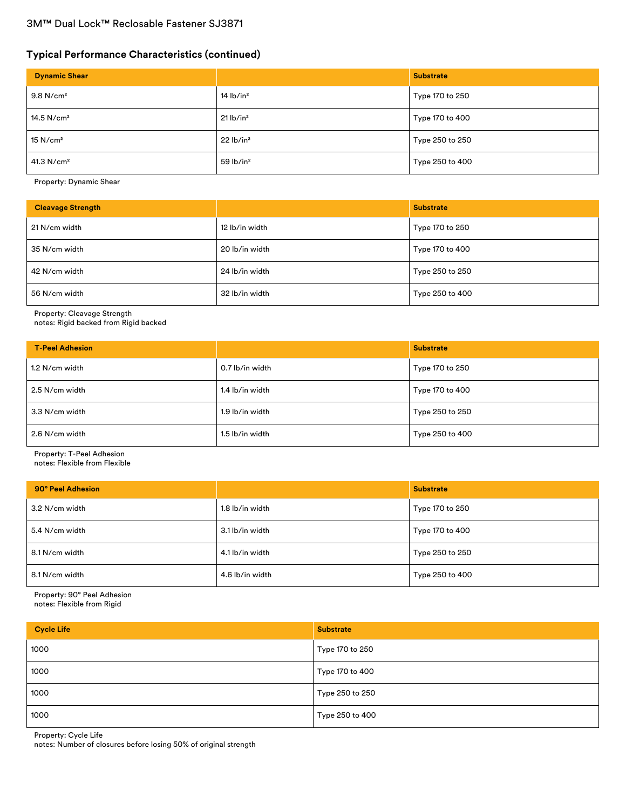# **Typical Performance Characteristics (continued)**

| <b>Dynamic Shear</b>    |                         | <b>Substrate</b> |
|-------------------------|-------------------------|------------------|
| $9.8$ N/cm <sup>2</sup> | $14$ lb/in <sup>2</sup> | Type 170 to 250  |
| 14.5 $N/cm2$            | $21$ lb/in <sup>2</sup> | Type 170 to 400  |
| 15 N/cm <sup>2</sup>    | 22 lb/in <sup>2</sup>   | Type 250 to 250  |
| 41.3 $N/cm2$            | $59$ lb/in <sup>2</sup> | Type 250 to 400  |

Property: Dynamic Shear

| <b>Cleavage Strength</b> |                | <b>Substrate</b> |
|--------------------------|----------------|------------------|
| 21 N/cm width            | 12 lb/in width | Type 170 to 250  |
| 35 N/cm width            | 20 lb/in width | Type 170 to 400  |
| 42 N/cm width            | 24 lb/in width | Type 250 to 250  |
| 56 N/cm width            | 32 lb/in width | Type 250 to 400  |

Property: Cleavage Strength

notes: Rigid backed from Rigid backed

| <b>T-Peel Adhesion</b> |                 | <b>Substrate</b> |
|------------------------|-----------------|------------------|
| 1.2 N/cm width         | 0.7 lb/in width | Type 170 to 250  |
| 2.5 N/cm width         | 1.4 lb/in width | Type 170 to 400  |
| 3.3 N/cm width         | 1.9 lb/in width | Type 250 to 250  |
| 2.6 N/cm width         | 1.5 lb/in width | Type 250 to 400  |

Property: T-Peel Adhesion

notes: Flexible from Flexible

| 90° Peel Adhesion |                 | <b>Substrate</b> |
|-------------------|-----------------|------------------|
| 3.2 N/cm width    | 1.8 lb/in width | Type 170 to 250  |
| 5.4 N/cm width    | 3.1 lb/in width | Type 170 to 400  |
| 8.1 N/cm width    | 4.1 lb/in width | Type 250 to 250  |
| 8.1 N/cm width    | 4.6 lb/in width | Type 250 to 400  |

Property: 90° Peel Adhesion notes: Flexible from Rigid

| <b>Cycle Life</b> | <b>Substrate</b> |
|-------------------|------------------|
| 1000              | Type 170 to 250  |
| 1000              | Type 170 to 400  |
| 1000              | Type 250 to 250  |
| 1000              | Type 250 to 400  |

Property: Cycle Life

notes: Number of closures before losing 50% of original strength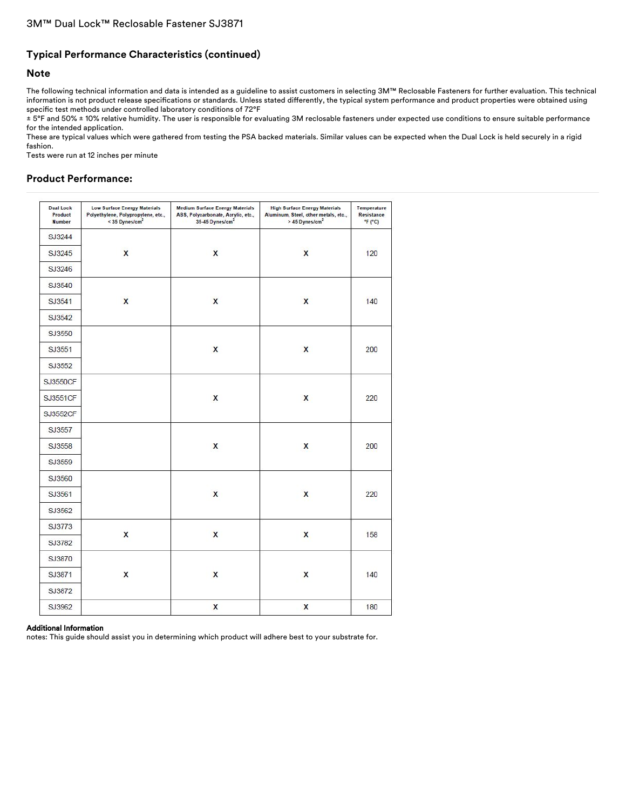# **Typical Performance Characteristics (continued)**

### **Note**

The following technical information and data is intended as a guideline to assist customers in selecting 3M™ Reclosable Fasteners for further evaluation. This technical information is not product release specifications or standards. Unless stated differently, the typical system performance and product properties were obtained using specific test methods under controlled laboratory conditions of 72°F

± 5°F and 50% ± 10% relative humidity. The user is responsible for evaluating 3M reclosable fasteners under expected use conditions to ensure suitable performance for the intended application.

These are typical values which were gathered from testing the PSA backed materials. Similar values can be expected when the Dual Lock is held securely in a rigid fashion.

Tests were run at 12 inches per minute

# **Product Performance:**

| <b>Dual Lock</b><br>Product<br><b>Number</b> | <b>Low Surface Energy Materials</b><br>Polyethylene, Polypropylene, etc.,<br>< 35 Dynes/cm <sup>2</sup> | <b>Medium Surface Energy Materials</b><br>ABS, Polycarbonate, Acrylic, etc.,<br>35-45 Dynes/cm <sup>2</sup> | <b>High Surface Energy Materials</b><br>Aluminum, Steel, other metals, etc.,<br>> 45 Dynes/cm <sup>2</sup> | Temperature<br>Resistance<br>F(T) |
|----------------------------------------------|---------------------------------------------------------------------------------------------------------|-------------------------------------------------------------------------------------------------------------|------------------------------------------------------------------------------------------------------------|-----------------------------------|
| SJ3244                                       |                                                                                                         |                                                                                                             |                                                                                                            |                                   |
| SJ3245                                       | X                                                                                                       | $\mathsf{x}$                                                                                                | X                                                                                                          | 120                               |
| SJ3246                                       |                                                                                                         |                                                                                                             |                                                                                                            |                                   |
| SJ3540                                       |                                                                                                         |                                                                                                             |                                                                                                            |                                   |
| SJ3541                                       | X                                                                                                       | $\mathsf{x}$                                                                                                | X                                                                                                          | 140                               |
| SJ3542                                       |                                                                                                         |                                                                                                             |                                                                                                            |                                   |
| SJ3550                                       |                                                                                                         |                                                                                                             |                                                                                                            |                                   |
| SJ3551                                       |                                                                                                         | $\mathsf{x}$                                                                                                | X                                                                                                          | 200                               |
| SJ3552                                       |                                                                                                         |                                                                                                             |                                                                                                            |                                   |
| <b>SJ3550CF</b>                              |                                                                                                         |                                                                                                             |                                                                                                            |                                   |
| SJ3551CF                                     |                                                                                                         | X                                                                                                           | X                                                                                                          | 220                               |
| SJ3552CF                                     |                                                                                                         |                                                                                                             |                                                                                                            |                                   |
| SJ3557                                       |                                                                                                         |                                                                                                             |                                                                                                            |                                   |
| SJ3558                                       |                                                                                                         | X                                                                                                           | X                                                                                                          | 200                               |
| SJ3559                                       |                                                                                                         |                                                                                                             |                                                                                                            |                                   |
| SJ3560                                       |                                                                                                         |                                                                                                             |                                                                                                            |                                   |
| SJ3561                                       |                                                                                                         | X                                                                                                           | X                                                                                                          | 220                               |
| SJ3562                                       |                                                                                                         |                                                                                                             |                                                                                                            |                                   |
| SJ3773                                       |                                                                                                         |                                                                                                             |                                                                                                            |                                   |
| SJ3782                                       | X                                                                                                       | $\mathsf{x}$                                                                                                | X                                                                                                          | 158                               |
| SJ3870                                       |                                                                                                         |                                                                                                             |                                                                                                            |                                   |
| SJ3871                                       | X                                                                                                       | $\mathsf{x}$                                                                                                | X                                                                                                          | 140                               |
| SJ3872                                       |                                                                                                         |                                                                                                             |                                                                                                            |                                   |
| SJ3962                                       |                                                                                                         | X                                                                                                           | X                                                                                                          | 180                               |

#### Additional Information

notes: This guide should assist you in determining which product will adhere best to your substrate for.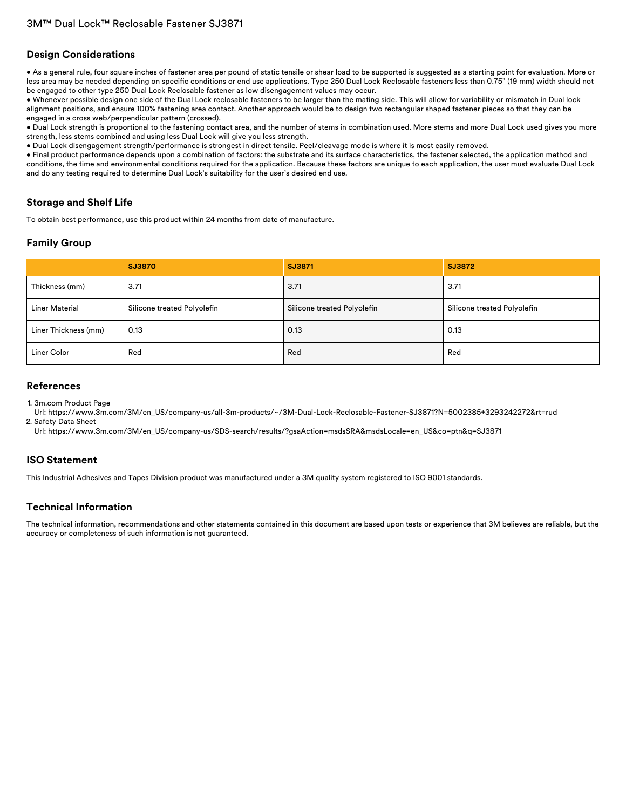# **Design Considerations**

• As a general rule, four square inches of fastener area per pound of static tensile or shear load to be supported is suggested as a starting point for evaluation. More or less area may be needed depending on specific conditions or end use applications. Type 250 Dual Lock Reclosable fasteners less than 0.75" (19 mm) width should not be engaged to other type 250 Dual Lock Reclosable fastener as low disengagement values may occur.

• Whenever possible design one side of the Dual Lock reclosable fasteners to be larger than the mating side. This will allow for variability or mismatch in Dual lock alignment positions, and ensure 100% fastening area contact. Another approach would be to design two rectangular shaped fastener pieces so that they can be engaged in a cross web/perpendicular pattern (crossed).

• Dual Lock strength is proportional to the fastening contact area, and the number of stems in combination used. More stems and more Dual Lock used gives you more strength, less stems combined and using less Dual Lock will give you less strength.

• Dual Lock disengagement strength/performance is strongest in direct tensile. Peel/cleavage mode is where it is most easily removed.

• Final product performance depends upon a combination of factors: the substrate and its surface characteristics, the fastener selected, the application method and conditions, the time and environmental conditions required for the application. Because these factors are unique to each application, the user must evaluate Dual Lock and do any testing required to determine Dual Lock's suitability for the user's desired end use.

# **Storage and Shelf Life**

To obtain best performance, use this product within 24 months from date of manufacture.

# **Family Group**

|                       | <b>SJ3870</b>               | SJ3871                      | SJ3872                      |
|-----------------------|-----------------------------|-----------------------------|-----------------------------|
| Thickness (mm)        | 3.71                        | 3.71                        | 3.71                        |
| <b>Liner Material</b> | Silicone treated Polyolefin | Silicone treated Polyolefin | Silicone treated Polyolefin |
| Liner Thickness (mm)  | 0.13                        | 0.13                        | 0.13                        |
| Liner Color           | Red                         | Red                         | Red                         |

### **References**

1. 3m.com Product Page

Url: [https://www.3m.com/3M/en\\_US/company-us/all-3m-products/~/3M-Dual-Lock-Reclosable-Fastener-SJ3871?N=5002385+3293242272&rt=rud](https://www.3m.com/3M/en_US/company-us/all-3m-products/~/3M-Dual-Lock-Reclosable-Fastener-SJ3871?N=5002385+3293242272&rt=rud) 2. Safety Data Sheet

Url: [https://www.3m.com/3M/en\\_US/company-us/SDS-search/results/?gsaAction=msdsSRA&msdsLocale=en\\_US&co=ptn&q=SJ3871](https://www.3m.com/3M/en_US/company-us/SDS-search/results/?gsaAction=msdsSRA&msdsLocale=en_US&co=ptn&q=SJ3871)

# **ISO Statement**

This Industrial Adhesives and Tapes Division product was manufactured under a 3M quality system registered to ISO 9001 standards.

# **Technical Information**

The technical information, recommendations and other statements contained in this document are based upon tests or experience that 3M believes are reliable, but the accuracy or completeness of such information is not guaranteed.